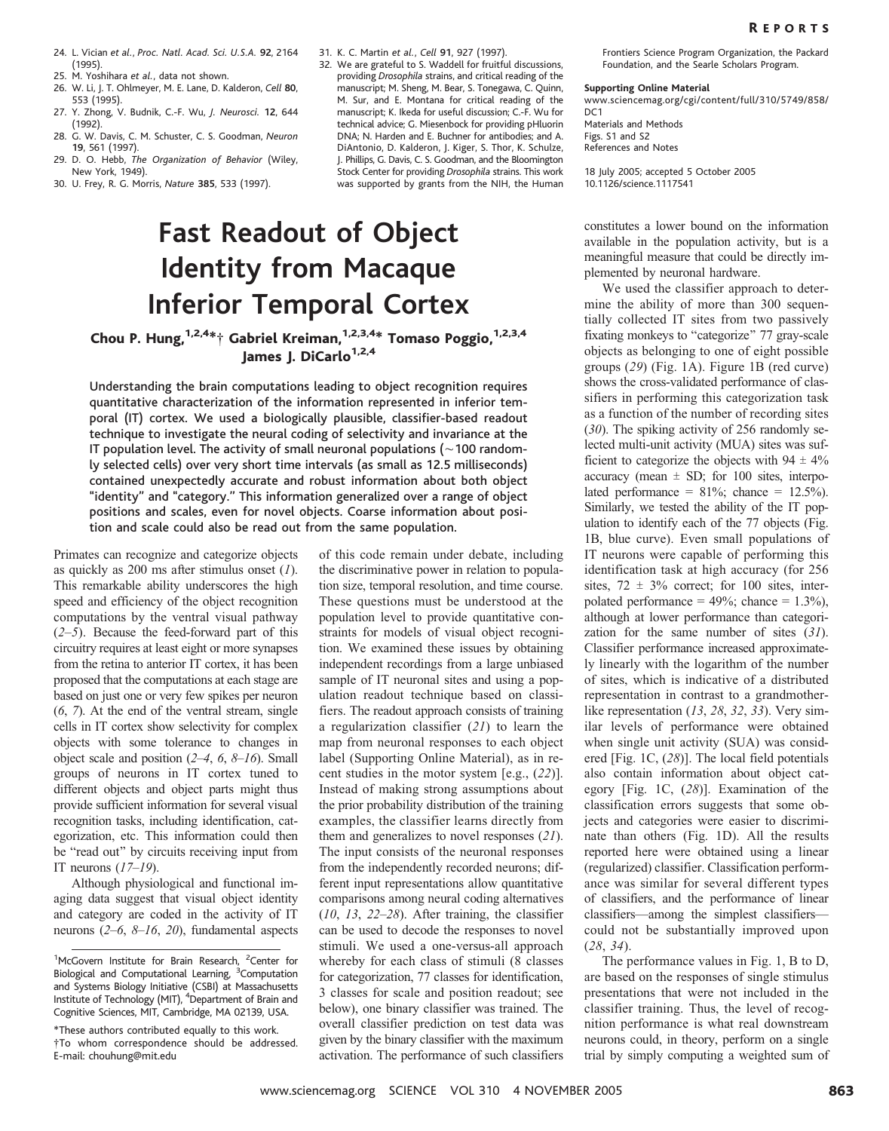- 24. L. Vician et al., Proc. Natl. Acad. Sci. U.S.A. 92, 2164 (1995).
- 25. M. Yoshihara et al., data not shown.
- 26. W. Li, J. T. Ohlmeyer, M. E. Lane, D. Kalderon, Cell 80, 553 (1995).
- 27. Y. Zhong, V. Budnik, C.-F. Wu, J. Neurosci. 12, 644 (1992).
- 28. G. W. Davis, C. M. Schuster, C. S. Goodman, Neuron 19, 561 (1997).
- 29. D. O. Hebb, The Organization of Behavior (Wiley, New York, 1949).
- 30. U. Frey, R. G. Morris, Nature 385, 533 (1997).
- 31. K. C. Martin et al., Cell 91, 927 (1997).
- 32. We are grateful to S. Waddell for fruitful discussions, providing Drosophila strains, and critical reading of the manuscript; M. Sheng, M. Bear, S. Tonegawa, C. Quinn, M. Sur, and E. Montana for critical reading of the manuscript; K. Ikeda for useful discussion; C.-F. Wu for technical advice; G. Miesenbock for providing pHluorin DNA; N. Harden and E. Buchner for antibodies; and A. DiAntonio, D. Kalderon, J. Kiger, S. Thor, K. Schulze, J. Phillips, G. Davis, C. S. Goodman, and the Bloomington Stock Center for providing Drosophila strains. This work was supported by grants from the NIH, the Human

## Fast Readout of Object Identity from Macaque Inferior Temporal Cortex

## Chou P. Hung,  $1,2,4**+$  Gabriel Kreiman,  $1,2,3,4*$  Tomaso Poggio,  $1,2,3,4$ James J. DiCarlo<sup>1,2,4</sup>

Understanding the brain computations leading to object recognition requires quantitative characterization of the information represented in inferior temporal (IT) cortex. We used a biologically plausible, classifier-based readout technique to investigate the neural coding of selectivity and invariance at the IT population level. The activity of small neuronal populations ( $\sim$  100 randomly selected cells) over very short time intervals (as small as 12.5 milliseconds) contained unexpectedly accurate and robust information about both object "identity" and "category." This information generalized over a range of object positions and scales, even for novel objects. Coarse information about position and scale could also be read out from the same population.

Primates can recognize and categorize objects as quickly as  $200$  ms after stimulus onset  $(1)$ . This remarkable ability underscores the high speed and efficiency of the object recognition computations by the ventral visual pathway  $(2-5)$ . Because the feed-forward part of this circuitry requires at least eight or more synapses from the retina to anterior IT cortex, it has been proposed that the computations at each stage are based on just one or very few spikes per neuron (6, 7). At the end of the ventral stream, single cells in IT cortex show selectivity for complex objects with some tolerance to changes in object scale and position (2–4, 6, 8–16). Small groups of neurons in IT cortex tuned to different objects and object parts might thus provide sufficient information for several visual recognition tasks, including identification, categorization, etc. This information could then be "read out" by circuits receiving input from IT neurons  $(17–19)$ .

Although physiological and functional imaging data suggest that visual object identity and category are coded in the activity of IT neurons  $(2-6, 8-16, 20)$ , fundamental aspects

of this code remain under debate, including the discriminative power in relation to population size, temporal resolution, and time course. These questions must be understood at the population level to provide quantitative constraints for models of visual object recognition. We examined these issues by obtaining independent recordings from a large unbiased sample of IT neuronal sites and using a population readout technique based on classifiers. The readout approach consists of training a regularization classifier (21) to learn the map from neuronal responses to each object label (Supporting Online Material), as in recent studies in the motor system  $[e.g., (22)]$ . Instead of making strong assumptions about the prior probability distribution of the training examples, the classifier learns directly from them and generalizes to novel responses (21). The input consists of the neuronal responses from the independently recorded neurons; different input representations allow quantitative comparisons among neural coding alternatives  $(10, 13, 22-28)$ . After training, the classifier can be used to decode the responses to novel stimuli. We used a one-versus-all approach whereby for each class of stimuli (8 classes for categorization, 77 classes for identification, 3 classes for scale and position readout; see below), one binary classifier was trained. The overall classifier prediction on test data was given by the binary classifier with the maximum activation. The performance of such classifiers

Frontiers Science Program Organization, the Packard Foundation, and the Searle Scholars Program.

### Supporting Online Material

www.sciencemag.org/cgi/content/full/310/5749/858/ D<sub>C</sub>1

Materials and Methods Figs. S1 and S2 References and Notes

18 July 2005; accepted 5 October 2005 10.1126/science.1117541

constitutes a lower bound on the information available in the population activity, but is a meaningful measure that could be directly implemented by neuronal hardware.

We used the classifier approach to determine the ability of more than 300 sequentially collected IT sites from two passively fixating monkeys to "categorize" 77 gray-scale objects as belonging to one of eight possible groups (29) (Fig. 1A). Figure 1B (red curve) shows the cross-validated performance of classifiers in performing this categorization task as a function of the number of recording sites (30). The spiking activity of 256 randomly selected multi-unit activity (MUA) sites was sufficient to categorize the objects with  $94 \pm 4\%$ accuracy (mean  $\pm$  SD; for 100 sites, interpolated performance =  $81\%$ ; chance =  $12.5\%$ ). Similarly, we tested the ability of the IT population to identify each of the 77 objects (Fig. 1B, blue curve). Even small populations of IT neurons were capable of performing this identification task at high accuracy (for 256 sites,  $72 \pm 3\%$  correct; for 100 sites, interpolated performance =  $49\%$ ; chance =  $1.3\%$ ), although at lower performance than categorization for the same number of sites (31). Classifier performance increased approximately linearly with the logarithm of the number of sites, which is indicative of a distributed representation in contrast to a grandmotherlike representation (13, 28, 32, 33). Very similar levels of performance were obtained when single unit activity (SUA) was considered [Fig. 1C,  $(28)$ ]. The local field potentials also contain information about object category [Fig. 1C,  $(28)$ ]. Examination of the classification errors suggests that some objects and categories were easier to discriminate than others (Fig. 1D). All the results reported here were obtained using a linear (regularized) classifier. Classification performance was similar for several different types of classifiers, and the performance of linear classifiers—among the simplest classifiers could not be substantially improved upon (28, 34).

The performance values in Fig. 1, B to D, are based on the responses of single stimulus presentations that were not included in the classifier training. Thus, the level of recognition performance is what real downstream neurons could, in theory, perform on a single trial by simply computing a weighted sum of

<sup>&</sup>lt;sup>1</sup>McGovern Institute for Brain Research, <sup>2</sup>Center for Biological and Computational Learning, <sup>3</sup>Computation and Systems Biology Initiative (CSBI) at Massachusetts Institute of Technology (MIT), <sup>4</sup> Department of Brain and Cognitive Sciences, MIT, Cambridge, MA 02139, USA.

<sup>\*</sup>These authors contributed equally to this work. .To whom correspondence should be addressed. E-mail: chouhung@mit.edu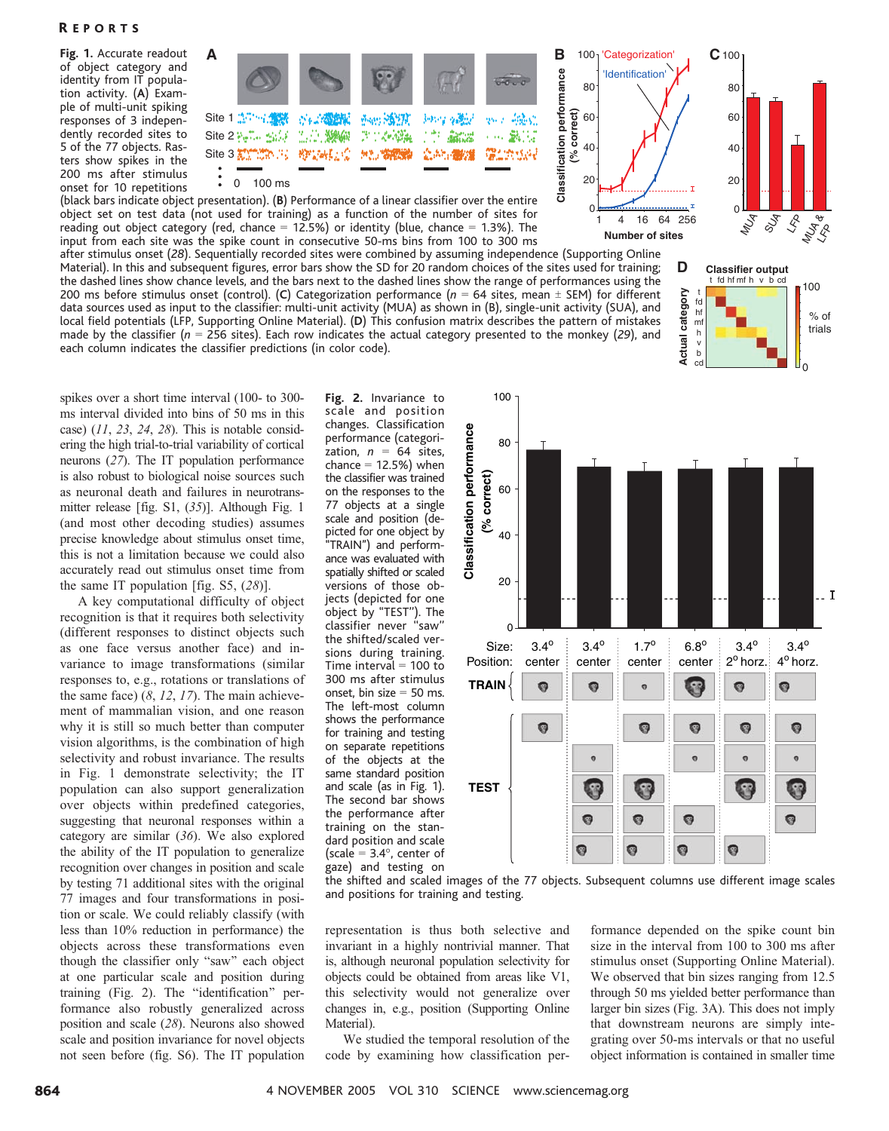### **REPORTS**

Fig. 1. Accurate readout of object category and identity from IT population activity. (A) Example of multi-unit spiking responses of 3 independently recorded sites to 5 of the 77 objects. Rasters show spikes in the 200 ms after stimulus onset for 10 repetitions



(black bars indicate object presentation). (B) Performance of a linear classifier over the entire object set on test data (not used for training) as a function of the number of sites for reading out object category (red, chance  $= 12.5\%$ ) or identity (blue, chance  $= 1.3\%$ ). The input from each site was the spike count in consecutive 50-ms bins from 100 to 300 ms

after stimulus onset (28). Sequentially recorded sites were combined by assuming independence (Supporting Online Material). In this and subsequent figures, error bars show the SD for 20 random choices of the sites used for training; the dashed lines show chance levels, and the bars next to the dashed lines show the range of performances using the 200 ms before stimulus onset (control). (C) Categorization performance ( $n = 64$  sites, mean  $\pm$  SEM) for different data sources used as input to the classifier: multi-unit activity (MUA) as shown in (B), single-unit activity (SUA), and local field potentials (LFP, Supporting Online Material). (D) This confusion matrix describes the pattern of mistakes made by the classifier ( $n = 256$  sites). Each row indicates the actual category presented to the monkey (29), and each column indicates the classifier predictions (in color code).





spikes over a short time interval (100- to 300 ms interval divided into bins of 50 ms in this case)  $(11, 23, 24, 28)$ . This is notable considering the high trial-to-trial variability of cortical neurons (27). The IT population performance is also robust to biological noise sources such as neuronal death and failures in neurotransmitter release [fig.  $S1$ ,  $(35)$ ]. Although Fig. 1 (and most other decoding studies) assumes precise knowledge about stimulus onset time, this is not a limitation because we could also accurately read out stimulus onset time from the same IT population [fig. S5,  $(28)$ ].

A key computational difficulty of object recognition is that it requires both selectivity (different responses to distinct objects such as one face versus another face) and invariance to image transformations (similar responses to, e.g., rotations or translations of the same face)  $(8, 12, 17)$ . The main achievement of mammalian vision, and one reason why it is still so much better than computer vision algorithms, is the combination of high selectivity and robust invariance. The results in Fig. 1 demonstrate selectivity; the IT population can also support generalization over objects within predefined categories, suggesting that neuronal responses within a category are similar (36). We also explored the ability of the IT population to generalize recognition over changes in position and scale by testing 71 additional sites with the original 77 images and four transformations in position or scale. We could reliably classify (with less than 10% reduction in performance) the objects across these transformations even though the classifier only "saw" each object at one particular scale and position during training (Fig. 2). The "identification" performance also robustly generalized across position and scale (28). Neurons also showed scale and position invariance for novel objects not seen before (fig. S6). The IT population

Fig. 2. Invariance to scale and position changes. Classification performance (categorization,  $n = 64$  sites, chance  $= 12.5%$ ) when the classifier was trained on the responses to the 77 objects at a single scale and position (depicted for one object by ''TRAIN'') and performance was evaluated with spatially shifted or scaled versions of those objects (depicted for one object by ''TEST''). The classifier never ''saw'' the shifted/scaled versions during training. Time interval  $= 100$  to 300 ms after stimulus onset, bin size  $= 50$  ms. The left-most column shows the performance for training and testing on separate repetitions of the objects at the same standard position and scale (as in Fig. 1). The second bar shows the performance after training on the standard position and scale (scale  $= 3.4^{\circ}$ , center of gaze) and testing on



the shifted and scaled images of the 77 objects. Subsequent columns use different image scales and positions for training and testing.

representation is thus both selective and invariant in a highly nontrivial manner. That is, although neuronal population selectivity for objects could be obtained from areas like V1, this selectivity would not generalize over changes in, e.g., position (Supporting Online Material).

We studied the temporal resolution of the code by examining how classification per-

formance depended on the spike count bin size in the interval from 100 to 300 ms after stimulus onset (Supporting Online Material). We observed that bin sizes ranging from 12.5 through 50 ms yielded better performance than larger bin sizes (Fig. 3A). This does not imply that downstream neurons are simply integrating over 50-ms intervals or that no useful object information is contained in smaller time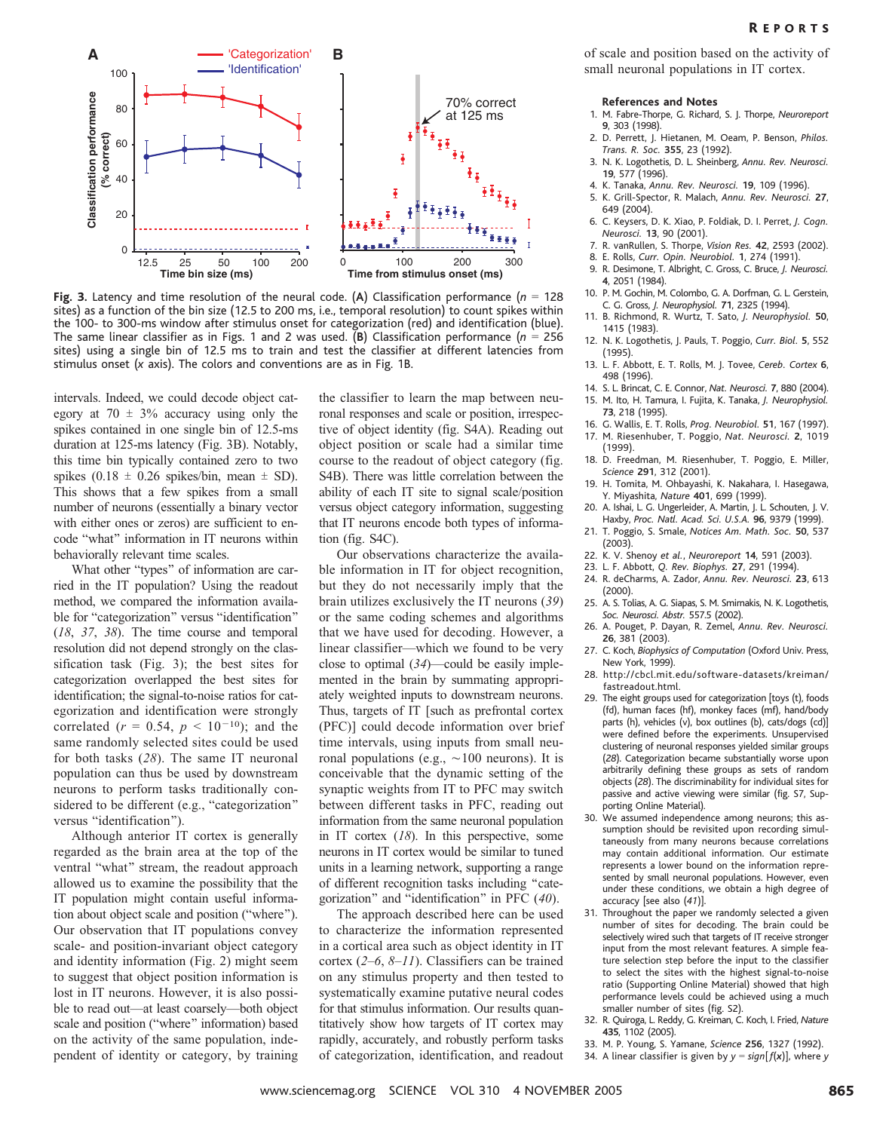

Fig. 3. Latency and time resolution of the neural code. (A) Classification performance ( $n = 128$ sites) as a function of the bin size (12.5 to 200 ms, i.e., temporal resolution) to count spikes within the 100- to 300-ms window after stimulus onset for categorization (red) and identification (blue). The same linear classifier as in Figs. 1 and 2 was used. (B) Classification performance ( $n = 256$ sites) using a single bin of 12.5 ms to train and test the classifier at different latencies from stimulus onset (x axis). The colors and conventions are as in Fig. 1B.

intervals. Indeed, we could decode object category at  $70 \pm 3\%$  accuracy using only the spikes contained in one single bin of 12.5-ms duration at 125-ms latency (Fig. 3B). Notably, this time bin typically contained zero to two spikes (0.18  $\pm$  0.26 spikes/bin, mean  $\pm$  SD). This shows that a few spikes from a small number of neurons (essentially a binary vector with either ones or zeros) are sufficient to encode "what" information in IT neurons within behaviorally relevant time scales.

What other "types" of information are carried in the IT population? Using the readout method, we compared the information available for "categorization" versus "identification" (18, 37, 38). The time course and temporal resolution did not depend strongly on the classification task (Fig. 3); the best sites for categorization overlapped the best sites for identification; the signal-to-noise ratios for categorization and identification were strongly correlated ( $r = 0.54$ ,  $p < 10^{-10}$ ); and the same randomly selected sites could be used for both tasks (28). The same IT neuronal population can thus be used by downstream neurons to perform tasks traditionally considered to be different (e.g., "categorization" versus "identification").

Although anterior IT cortex is generally regarded as the brain area at the top of the ventral "what" stream, the readout approach allowed us to examine the possibility that the IT population might contain useful information about object scale and position ("where"). Our observation that IT populations convey scale- and position-invariant object category and identity information (Fig. 2) might seem to suggest that object position information is lost in IT neurons. However, it is also possible to read out—at least coarsely—both object scale and position ("where" information) based on the activity of the same population, independent of identity or category, by training

the classifier to learn the map between neuronal responses and scale or position, irrespective of object identity (fig. S4A). Reading out object position or scale had a similar time course to the readout of object category (fig. S4B). There was little correlation between the ability of each IT site to signal scale/position versus object category information, suggesting that IT neurons encode both types of information (fig. S4C).

Our observations characterize the available information in IT for object recognition, but they do not necessarily imply that the brain utilizes exclusively the IT neurons (39) or the same coding schemes and algorithms that we have used for decoding. However, a linear classifier—which we found to be very close to optimal  $(34)$ —could be easily implemented in the brain by summating appropriately weighted inputs to downstream neurons. Thus, targets of IT [such as prefrontal cortex (PFC)^ could decode information over brief time intervals, using inputs from small neuronal populations (e.g.,  $\sim$ 100 neurons). It is conceivable that the dynamic setting of the synaptic weights from IT to PFC may switch between different tasks in PFC, reading out information from the same neuronal population in IT cortex  $(18)$ . In this perspective, some neurons in IT cortex would be similar to tuned units in a learning network, supporting a range of different recognition tasks including ''categorization" and "identification" in PFC  $(40)$ .

The approach described here can be used to characterize the information represented in a cortical area such as object identity in IT cortex (2–6, 8–11). Classifiers can be trained on any stimulus property and then tested to systematically examine putative neural codes for that stimulus information. Our results quantitatively show how targets of IT cortex may rapidly, accurately, and robustly perform tasks of categorization, identification, and readout

of scale and position based on the activity of small neuronal populations in IT cortex.

#### References and Notes

- 1. M. Fabre-Thorpe, G. Richard, S. J. Thorpe, Neuroreport 9, 303 (1998).
- 2. D. Perrett, J. Hietanen, M. Oeam, P. Benson, Philos. Trans. R. Soc. 355, 23 (1992).
- 3. N. K. Logothetis, D. L. Sheinberg, Annu. Rev. Neurosci. 19, 577 (1996).
- 4. K. Tanaka, Annu. Rev. Neurosci. 19, 109 (1996). 5. K. Grill-Spector, R. Malach, Annu. Rev. Neurosci. 27,
- 649 (2004).
- 6. C. Keysers, D. K. Xiao, P. Foldiak, D. I. Perret, J. Cogn. Neurosci. 13, 90 (2001).
- 7. R. vanRullen, S. Thorpe, Vision Res. 42, 2593 (2002).
- 8. E. Rolls, Curr. Opin. Neurobiol. 1, 274 (1991).
- 9. R. Desimone, T. Albright, C. Gross, C. Bruce, J. Neurosci. 4, 2051 (1984).
- 10. P. M. Gochin, M. Colombo, G. A. Dorfman, G. L. Gerstein, C. G. Gross, J. Neurophysiol. 71, 2325 (1994).
- 11. B. Richmond, R. Wurtz, T. Sato, J. Neurophysiol. 50, 1415 (1983).
- 12. N. K. Logothetis, J. Pauls, T. Poggio, Curr. Biol. 5, 552 (1995).
- 13. L. F. Abbott, E. T. Rolls, M. J. Tovee, Cereb. Cortex 6, 498 (1996).
- 14. S. L. Brincat, C. E. Connor, Nat. Neurosci. 7, 880 (2004). 15. M. Ito, H. Tamura, I. Fujita, K. Tanaka, J. Neurophysiol.
- 73, 218 (1995). 16. G. Wallis, E. T. Rolls, Prog. Neurobiol. 51, 167 (1997).
- 17. M. Riesenhuber, T. Poggio, Nat. Neurosci. 2, 1019 (1999).
- 18. D. Freedman, M. Riesenhuber, T. Poggio, E. Miller, Science 291, 312 (2001).
- 19. H. Tomita, M. Ohbayashi, K. Nakahara, I. Hasegawa, Y. Miyashita, Nature 401, 699 (1999).
- 20. A. Ishai, L. G. Ungerleider, A. Martin, J. L. Schouten, J. V. Haxby, Proc. Natl. Acad. Sci. U.S.A. 96, 9379 (1999).
- 21. T. Poggio, S. Smale, Notices Am. Math. Soc. 50, 537 (2003).
- 22. K. V. Shenoy et al., Neuroreport 14, 591 (2003).
- 23. L. F. Abbott, Q. Rev. Biophys. 27, 291 (1994)
- 24. R. deCharms, A. Zador, Annu. Rev. Neurosci. 23, 613 (2000).
- 25. A. S. Tolias, A. G. Siapas, S. M. Smirnakis, N. K. Logothetis, Soc. Neurosci. Abstr. 557.5 (2002).
- 26. A. Pouget, P. Dayan, R. Zemel, Annu. Rev. Neurosci. 26, 381 (2003).
- 27. C. Koch, Biophysics of Computation (Oxford Univ. Press, New York, 1999).
- 28. http://cbcl.mit.edu/software-datasets/kreiman/ fastreadout.html.
- 29. The eight groups used for categorization [toys (t), foods (fd), human faces (hf), monkey faces (mf), hand/body parts (h), vehicles (v), box outlines (b), cats/dogs (cd)] were defined before the experiments. Unsupervised clustering of neuronal responses yielded similar groups (28). Categorization became substantially worse upon arbitrarily defining these groups as sets of random objects (28). The discriminability for individual sites for passive and active viewing were similar (fig. S7, Supporting Online Material).
- 30. We assumed independence among neurons; this assumption should be revisited upon recording simultaneously from many neurons because correlations may contain additional information. Our estimate represents a lower bound on the information represented by small neuronal populations. However, even under these conditions, we obtain a high degree of accuracy [see also (41)].
- 31. Throughout the paper we randomly selected a given number of sites for decoding. The brain could be selectively wired such that targets of IT receive stronger input from the most relevant features. A simple feature selection step before the input to the classifier to select the sites with the highest signal-to-noise ratio (Supporting Online Material) showed that high performance levels could be achieved using a much smaller number of sites (fig. S2).
- 32. R. Quiroga, L. Reddy, G. Kreiman, C. Koch, I. Fried, Nature 435, 1102 (2005).
- 33. M. P. Young, S. Yamane, Science 256, 1327 (1992).
- 34. A linear classifier is given by  $y = sign[f(x)]$ , where y